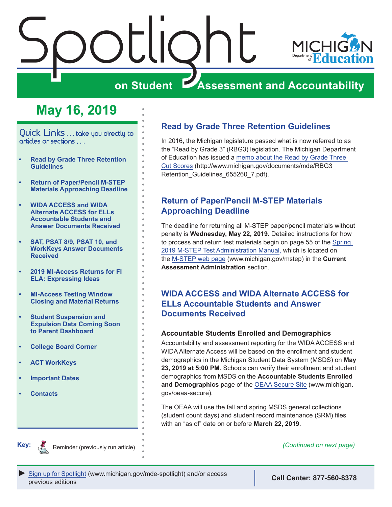<span id="page-0-0"></span>



# **on Student Assessment and Accountability**

# **May 16, 2019**

Quick Links . . . take you directly to articles or sections . . .

- **• Read by Grade Three Retention Guidelines**
- **• Return of Paper/Pencil M-STEP Materials Approaching Deadline**
- **• WIDA ACCESS and WIDA Alternate ACCESS for ELLs Accountable Students and Answer Documents Received**
- **• [SAT, PSAT 8/9, PSAT 10, and](#page-1-0)  [WorkKeys Answer Documents](#page-1-0)  [Received](#page-1-0)**
- **• [2019 MI-Access Returns for FI](#page-1-0)  [ELA: Expressing Ideas](#page-1-0)**
- **• [MI-Access Testing Window](#page-2-0)  [Closing and Material Returns](#page-2-0)**
- **• [Student Suspension and](#page-2-0)  [Expulsion Data Coming Soon](#page-2-0)  [to Parent Dashboard](#page-2-0)**
- **• [College Board Corner](#page-4-0)**
- **• [ACT WorkKeys](#page-5-0)**
- **• [Important Dates](#page-6-0)**
- **• [Contacts](#page-7-0)**

## **Read by Grade Three Retention Guidelines**

In 2016, the Michigan legislature passed what is now referred to as the "Read by Grade 3" (RBG3) legislation. The Michigan Department of Education has issued a [memo about the Read by Grade Three](http://www.michigan.gov/documents/mde/RBG3_Retention_Guidelines_655260_7.pdf)  [Cut Scores](http://www.michigan.gov/documents/mde/RBG3_Retention_Guidelines_655260_7.pdf) (http://www.michigan.gov/documents/mde/RBG3\_ Retention Guidelines 655260 7.pdf).

### **Return of Paper/Pencil M-STEP Materials Approaching Deadline**

The deadline for returning all M-STEP paper/pencil materials without penalty is **Wednesday, May 22, 2019**. Detailed instructions for how to process and return test materials begin on page 55 of the [Spring](https://www.michigan.gov/documents/mde/M-STEP_Test_Administration_Manual_630729_7.pdf)  [2019 M-STEP Test Administration Manual,](https://www.michigan.gov/documents/mde/M-STEP_Test_Administration_Manual_630729_7.pdf) which is located on the [M-STEP web page](www.michigan.gov/mstep) (www.michigan.gov/mstep) in the **Current Assessment Administration** section.

### **WIDA ACCESS and WIDA Alternate ACCESS for ELLs Accountable Students and Answer Documents Received**

### **Accountable Students Enrolled and Demographics**

Accountability and assessment reporting for the WIDA ACCESS and WIDA Alternate Access will be based on the enrollment and student demographics in the Michigan Student Data System (MSDS) on **May 23, 2019 at 5:00 PM**. Schools can verify their enrollment and student demographics from MSDS on the **Accountable Students Enrolled and Demographics** page of the [OEAA Secure Site](http://www.michigan.gov/oeaa-secure) (www.michigan. gov/oeaa-secure).

The OEAA will use the fall and spring MSDS general collections (student count days) and student record maintenance (SRM) files with an "as of" date on or before **March 22, 2019**.



Reminder (previously run article) *(Continued on next page)*

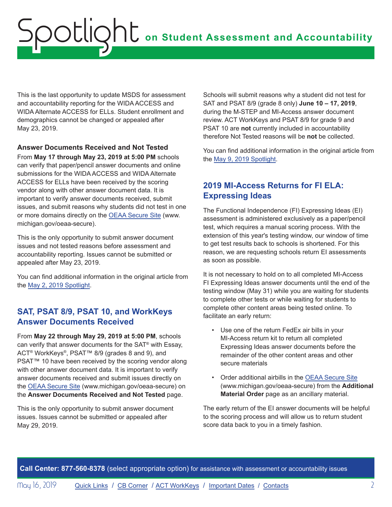<span id="page-1-0"></span>This is the last opportunity to update MSDS for assessment and accountability reporting for the WIDA ACCESS and WIDA Alternate ACCESS for ELLs. Student enrollment and demographics cannot be changed or appealed after May 23, 2019.

### **Answer Documents Received and Not Tested**

From **May 17 through May 23, 2019 at 5:00 PM** schools can verify that paper/pencil answer documents and online submissions for the WIDA ACCESS and WIDA Alternate ACCESS for ELLs have been received by the scoring vendor along with other answer document data. It is important to verify answer documents received, submit issues, and submit reasons why students did not test in one or more domains directly on the [OEAA Secure Site](http://www.michigan.gov/oeaa-secure) (www. michigan.gov/oeaa-secure).

This is the only opportunity to submit answer document issues and not tested reasons before assessment and accountability reporting. Issues cannot be submitted or appealed after May 23, 2019.

You can find additional information in the original article from the [May 2, 2019 Spotlight](https://www.michigan.gov/documents/mde/Spotlight_5-2-19_654086_7.pdf).

### **SAT, PSAT 8/9, PSAT 10, and WorkKeys Answer Documents Received**

From **May 22 through May 29, 2019 at 5:00 PM**, schools can verify that answer documents for the SAT® with Essay, ACT® WorkKeys®, PSAT™ 8/9 (grades 8 and 9), and PSAT<sup>™</sup> 10 have been received by the scoring vendor along with other answer document data. It is important to verify answer documents received and submit issues directly on the [OEAA Secure Site](http://www.michigan.gov/oeaa-secure) (www.michigan.gov/oeaa-secure) on the **Answer Documents Received and Not Tested** page.

This is the only opportunity to submit answer document issues. Issues cannot be submitted or appealed after May 29, 2019.

Schools will submit reasons why a student did not test for SAT and PSAT 8/9 (grade 8 only) **June 10 – 17, 2019**, during the M-STEP and MI-Access answer document review. ACT WorkKeys and PSAT 8/9 for grade 9 and PSAT 10 are **not** currently included in accountability therefore Not Tested reasons will be **not** be collected.

You can find additional information in the original article from the [May 9, 2019 Spotlight.](https://www.michigan.gov/documents/mde/Spotlight_5-9-19_654743_7.pdf)

## **2019 MI-Access Returns for FI ELA: Expressing Ideas**

The Functional Independence (FI) Expressing Ideas (EI) assessment is administered exclusively as a paper/pencil test, which requires a manual scoring process. With the extension of this year's testing window, our window of time to get test results back to schools is shortened. For this reason, we are requesting schools return EI assessments as soon as possible.

It is not necessary to hold on to all completed MI-Access FI Expressing Ideas answer documents until the end of the testing window (May 31) while you are waiting for students to complete other tests or while waiting for students to complete other content areas being tested online. To facilitate an early return:

- Use one of the return FedEx air bills in your MI-Access return kit to return all completed Expressing Ideas answer documents before the remainder of the other content areas and other secure materials
- Order additional airbills in the [OEAA Secure Site](http://www.michigan.gov/oeaa-secure) (www.michigan.gov/oeaa-secure) from the **Additional Material Order** page as an ancillary material.

The early return of the EI answer documents will be helpful to the scoring process and will allow us to return student score data back to you in a timely fashion.

**Call Center: 877-560-8378** (select appropriate option) for assistance with assessment or accountability issues

May 16, 2019 [Quick Links](#page-0-0) / [CB Corner](#page-4-1) / [ACT WorkKeys](#page-5-1) / [Important Dates](#page-6-1) / [Contacts](#page-7-1) 2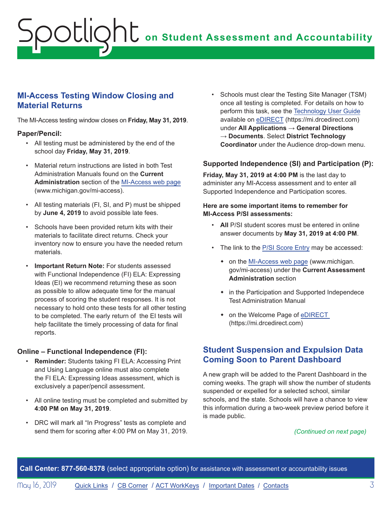## <span id="page-2-0"></span>**MI-Access Testing Window Closing and Material Returns**

The MI-Access testing window closes on **Friday, May 31, 2019**.

### **Paper/Pencil:**

- All testing must be administered by the end of the school day **Friday, May 31, 2019**.
- Material return instructions are listed in both Test Administration Manuals found on the **Current Administration** section of the [MI-Access web page](http://www.michigan.gov/mi-access) (www.michigan.gov/mi-access).
- All testing materials (FI, SI, and P) must be shipped by **June 4, 2019** to avoid possible late fees.
- Schools have been provided return kits with their materials to facilitate direct returns. Check your inventory now to ensure you have the needed return materials.
- **Important Return Note:** For students assessed with Functional Independence (FI) ELA: Expressing Ideas (EI) we recommend returning these as soon as possible to allow adequate time for the manual process of scoring the student responses. It is not necessary to hold onto these tests for all other testing to be completed. The early return of the EI tests will help facilitate the timely processing of data for final reports.

### **Online – Functional Independence (FI):**

- **Reminder:** Students taking FI ELA: Accessing Print and Using Language online must also complete the FI ELA: Expressing Ideas assessment, which is exclusively a paper/pencil assessment.
- All online testing must be completed and submitted by **4:00 PM on May 31, 2019**.
- DRC will mark all "In Progress" tests as complete and send them for scoring after 4:00 PM on May 31, 2019.

• Schools must clear the Testing Site Manager (TSM) once all testing is completed. For details on how to perform this task, see the [Technology User Guide](https://mi.drcedirect.com/Documents/Unsecure/Doc.aspx?id=27830d03-3cb2-459f-8843-40dd48d81b1a) available on [eDIRECT](https://mi.drcedirect.com) (https://mi.drcedirect.com) under **All Applications** → **General Directions** → **Documents**. Select **District Technology Coordinator** under the Audience drop-down menu.

### **Supported Independence (SI) and Participation (P):**

**Friday, May 31, 2019 at 4:00 PM** is the last day to administer any MI-Access assessment and to enter all Supported Independence and Participation scores.

#### **Here are some important items to remember for MI-Access P/SI assessments:**

- **All** P/SI student scores must be entered in online answer documents by **May 31, 2019 at 4:00 PM**.
- The link to the [P/SI Score Entry](https://surveysdrc.com/mi/mi2019/logon.aspx) may be accessed:
	- on the [MI-Access web page](http://www.michigan.gov/mi-access) (www.michigan. gov/mi-access) under the **Current Assessment Administration** section
	- in the Participation and Supported Independece Test Administration Manual
	- on the Welcome Page of eDIRECT (https://mi.drcedirect.com)

### **Student Suspension and Expulsion Data Coming Soon to Parent Dashboard**

A new graph will be added to the Parent Dashboard in the coming weeks. The graph will show the number of students suspended or expelled for a selected school, similar schools, and the state. Schools will have a chance to view this information during a two-week preview period before it is made public.

### *(Continued on next page)*

**Call Center: 877-560-8378** (select appropriate option) for assistance with assessment or accountability issues

May 16, 2019 **[Quick Links](#page-0-0) / [CB Corner](#page-4-1) / [ACT WorkKeys](#page-5-1) / [Important Dates](#page-6-1) / [Contacts](#page-7-1)** 3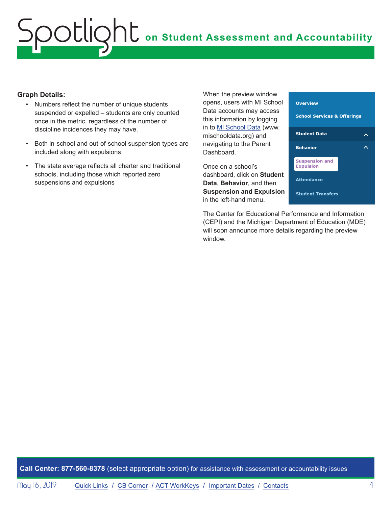### **Graph Details:**

- Numbers reflect the number of unique students suspended or expelled – students are only counted once in the metric, regardless of the number of discipline incidences they may have.
- Both in-school and out-of-school suspension types are included along with expulsions
- The state average reflects all charter and traditional schools, including those which reported zero suspensions and expulsions

When the preview window opens, users with MI School Data accounts may access this information by logging in to [MI School Data](https://www.mischooldata.org/) (www. mischooldata.org) and navigating to the Parent Dashboard.

Once on a school's dashboard, click on **Student Data**, **Behavior**, and then **Suspension and Expulsion** in the left-hand menu.



The Center for Educational Performance and Information (CEPI) and the Michigan Department of Education (MDE) will soon announce more details regarding the preview window.

**Call Center: 877-560-8378** (select appropriate option) for assistance with assessment or accountability issues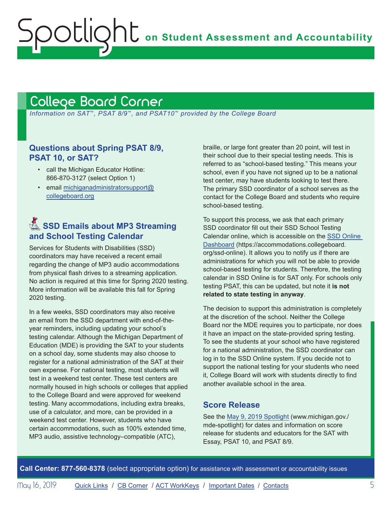# <span id="page-4-1"></span>College Board Corner

<span id="page-4-0"></span>Spotlight

 *Information on SAT*™*, PSAT 8/9*™*, and PSAT10*™ *provided by the College Board*

### **Questions about Spring PSAT 8/9, PSAT 10, or SAT?**

- call the Michigan Educator Hotline: 866-870-3127 (select Option 1)
- email [michiganadministratorsupport@](mailto:michiganadministratorsupport%40collegeboard.org?subject=) [collegeboard.org](mailto:michiganadministratorsupport%40collegeboard.org?subject=)

## **Remails about MP3 Streaming 3 and School Testing Calendar**

Services for Students with Disabilities (SSD) coordinators may have received a recent email regarding the change of MP3 audio accommodations from physical flash drives to a streaming application. No action is required at this time for Spring 2020 testing. More information will be available this fall for Spring 2020 testing.

In a few weeks, SSD coordinators may also receive an email from the SSD department with end-of-theyear reminders, including updating your school's testing calendar. Although the Michigan Department of Education (MDE) is providing the SAT to your students on a school day, some students may also choose to register for a national administration of the SAT at their own expense. For national testing, most students will test in a weekend test center. These test centers are normally housed in high schools or colleges that applied to the College Board and were approved for weekend testing. Many accommodations, including extra breaks, use of a calculator, and more, can be provided in a weekend test center. However, students who have certain accommodations, such as 100% extended time, MP3 audio, assistive technology–compatible (ATC),

braille, or large font greater than 20 point, will test in their school due to their special testing needs. This is referred to as "school-based testing." This means your school, even if you have not signed up to be a national test center, may have students looking to test there. The primary SSD coordinator of a school serves as the contact for the College Board and students who require school-based testing.

To support this process, we ask that each primary SSD coordinator fill out their SSD School Testing Calendar online, which is accessible on the [SSD Online](https://accommodations.collegeboard.org/ssd-online)  [Dashboard](https://accommodations.collegeboard.org/ssd-online) (https://accommodations.collegeboard. org/ssd-online). It allows you to notify us if there are administrations for which you will not be able to provide school-based testing for students. Therefore, the testing calendar in SSD Online is for SAT only. For schools only testing PSAT, this can be updated, but note it **is not related to state testing in anyway**.

The decision to support this administration is completely at the discretion of the school. Neither the College Board nor the MDE requires you to participate, nor does it have an impact on the state-provided spring testing. To see the students at your school who have registered for a national administration, the SSD coordinator can log in to the SSD Online system. If you decide not to support the national testing for your students who need it, College Board will work with students directly to find another available school in the area.

### **Score Release**

See the [May 9, 2019 Spotlight](https://www.michigan.gov/documents/mde/Spotlight_5-9-19_654743_7.pdf) (www.michigan.gov./ mde-spotlight) for dates and information on score release for students and educators for the SAT with Essay, PSAT 10, and PSAT 8/9.

**Call Center: 877-560-8378** (select appropriate option) for assistance with assessment or accountability issues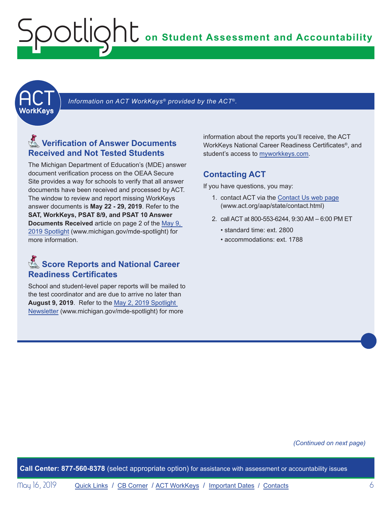<span id="page-5-1"></span><span id="page-5-0"></span>

Information on ACT WorkKeys<sup>®</sup> provided by the ACT®.

## Reminders **Verification of Answer Documents Received and Not Tested Students**

The Michigan Department of Education's (MDE) answer document verification process on the OEAA Secure Site provides a way for schools to verify that all answer documents have been received and processed by ACT. The window to review and report missing WorkKeys answer documents is **May 22 - 29, 2019**. Refer to the **SAT, WorkKeys, PSAT 8/9, and PSAT 10 Answer Documents Received** article on page 2 of the [May 9,](https://www.michigan.gov/documents/mde/Spotlight_5-9-19_654743_7.pdf)  [2019 Spotlight](https://www.michigan.gov/documents/mde/Spotlight_5-9-19_654743_7.pdf) (www.michigan.gov/mde-spotlight) for more information.

## **Score Reports and National Career Readiness Certificates**

School and student-level paper reports will be mailed to the test coordinator and are due to arrive no later than **August 9, 2019**. Refer to the [May 2, 2019 Spotlight](https://www.michigan.gov/documents/mde/Spotlight_5-2-19_654086_7.pdf)  [Newsletter](https://www.michigan.gov/documents/mde/Spotlight_5-2-19_654086_7.pdf) (www.michigan.gov/mde-spotlight) for more

information about the reports you'll receive, the ACT WorkKeys National Career Readiness Certificates®, and student's access to [myworkkeys.com.](http://www.myworkkeys.com)

### **Contacting ACT**

If you have questions, you may:

- 1. contact ACT via the [Contact Us web page](http://www.act.org/aap/state/contact.html) (<www.act.org/aap/state/contact.html>)
- 2. call ACT at 800-553-6244, 9:30 AM 6:00 PM ET
	- standard time: ext. 2800
	- accommodations: ext. 1788

#### *(Continued on next page)*

**Call Center: 877-560-8378** (select appropriate option) for assistance with assessment or accountability issues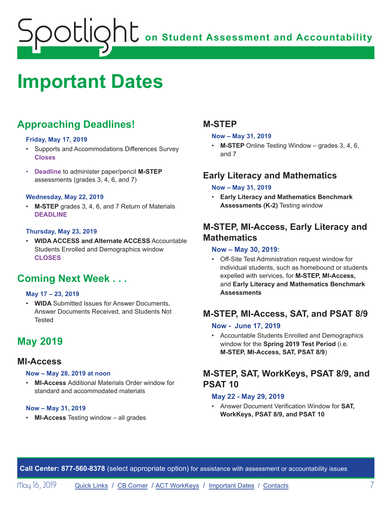# <span id="page-6-1"></span><span id="page-6-0"></span>**Important Dates**

# **Approaching Deadlines!**

### **Friday, May 17, 2019**

- Supports and Accommodations Differences Survey **Closes**
- **Deadline** to administer paper/pencil **M-STEP** assessments (grades 3, 4, 6, and 7)

### **Wednesday, May 22, 2019**

• **M-STEP** grades 3, 4, 6, and 7 Return of Materials **DEADLINE**

### **Thursday, May 23, 2019**

• **WIDA ACCESS and Alternate ACCESS** Accountable Students Enrolled and Demographics window **CLOSES**

# **Coming Next Week . . .**

### **May 17 – 23, 2019**

• **WIDA** Submitted Issues for Answer Documents, Answer Documents Received, and Students Not **Tested** 

# **May 2019**

### **MI-Access**

#### **Now – May 28, 2019 at noon**

• **MI-Access** Additional Materials Order window for standard and accommodated materials

#### **Now – May 31, 2019**

• **MI-Access** Testing window – all grades

### **M-STEP**

#### **Now – May 31, 2019**

• **M-STEP** Online Testing Window – grades 3, 4, 6, and 7

## **Early Literacy and Mathematics**

### **Now – May 31, 2019**

• **Early Literacy and Mathematics Benchmark Assessments (K-2)** Testing window

## **M-STEP, MI-Access, Early Literacy and Mathematics**

### **Now – May 30, 2019:**

• Off-Site Test Administration request window for individual students, such as homebound or students expelled with services, for **M-STEP, MI-Access,**  and **Early Literacy and Mathematics Benchmark Assessments**

## **M-STEP, MI-Access, SAT, and PSAT 8/9**

### **Now - June 17, 2019**

• Accountable Students Enrolled and Demographics window for the **Spring 2019 Test Period** (i.e. **M-STEP, MI-Access, SAT, PSAT 8/9**)

## **M-STEP, SAT, WorkKeys, PSAT 8/9, and PSAT 10**

#### **May 22 - May 29, 2019**

• Answer Document Verification Window for **SAT, WorkKeys, PSAT 8/9, and PSAT 10**

**Call Center: 877-560-8378** (select appropriate option) for assistance with assessment or accountability issues

May 16, 2019 [Quick Links](#page-0-0) / [CB Corner](#page-4-1) / [ACT WorkKeys](#page-5-1) / [Important Dates](#page-6-1) / [Contacts](#page-7-1) 7